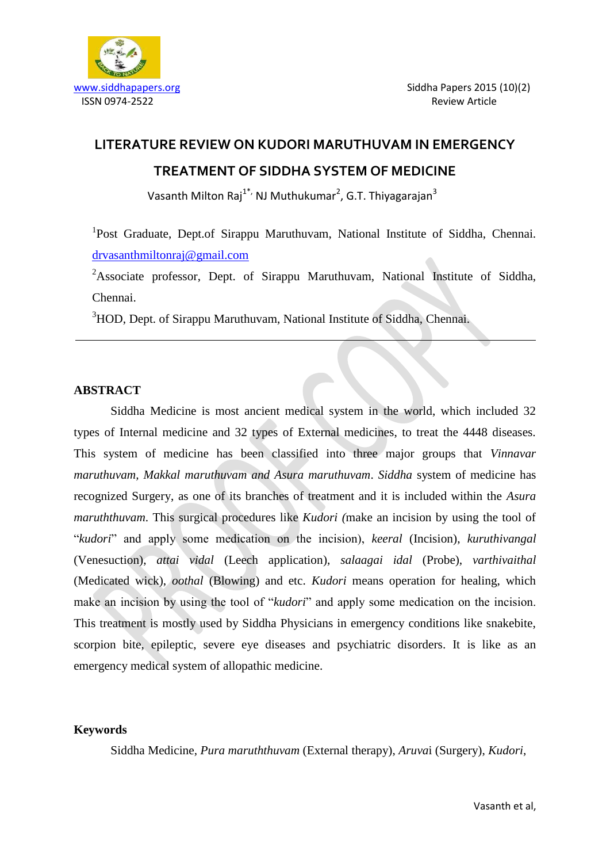

# **LITERATURE REVIEW ON KUDORI MARUTHUVAM IN EMERGENCY TREATMENT OF SIDDHA SYSTEM OF MEDICINE**

Vasanth Milton Raj<sup>1\*,</sup> NJ Muthukumar<sup>2</sup>, G.T. Thiyagarajan<sup>3</sup>

<sup>1</sup>Post Graduate, Dept.of Sirappu Maruthuvam, National Institute of Siddha, Chennai. [drvasanthmiltonraj@gmail.com](mailto:drvasanthmiltonraj@gmail.com)

<sup>2</sup>Associate professor, Dept. of Sirappu Maruthuvam, National Institute of Siddha, Chennai.

<sup>3</sup>HOD, Dept. of Sirappu Maruthuvam, National Institute of Siddha, Chennai.

# **ABSTRACT**

Siddha Medicine is most ancient medical system in the world, which included 32 types of Internal medicine and 32 types of External medicines, to treat the 4448 diseases. This system of medicine has been classified into three major groups that *Vinnavar maruthuvam, Makkal maruthuvam and Asura maruthuvam*. *Siddha* system of medicine has recognized Surgery, as one of its branches of treatment and it is included within the *Asura maruththuvam*. This surgical procedures like *Kudori (*make an incision by using the tool of "*kudori*" and apply some medication on the incision), *keeral* (Incision), *kuruthivangal*  (Venesuction), *attai vidal* (Leech application), *salaagai idal* (Probe), *varthivaithal*  (Medicated wick), *oothal* (Blowing) and etc. *Kudori* means operation for healing, which make an incision by using the tool of "*kudori*" and apply some medication on the incision. This treatment is mostly used by Siddha Physicians in emergency conditions like snakebite, scorpion bite, epileptic, severe eye diseases and psychiatric disorders. It is like as an emergency medical system of allopathic medicine.

# **Keywords**

Siddha Medicine, *Pura maruththuvam* (External therapy), *Aruva*i (Surgery), *Kudori*,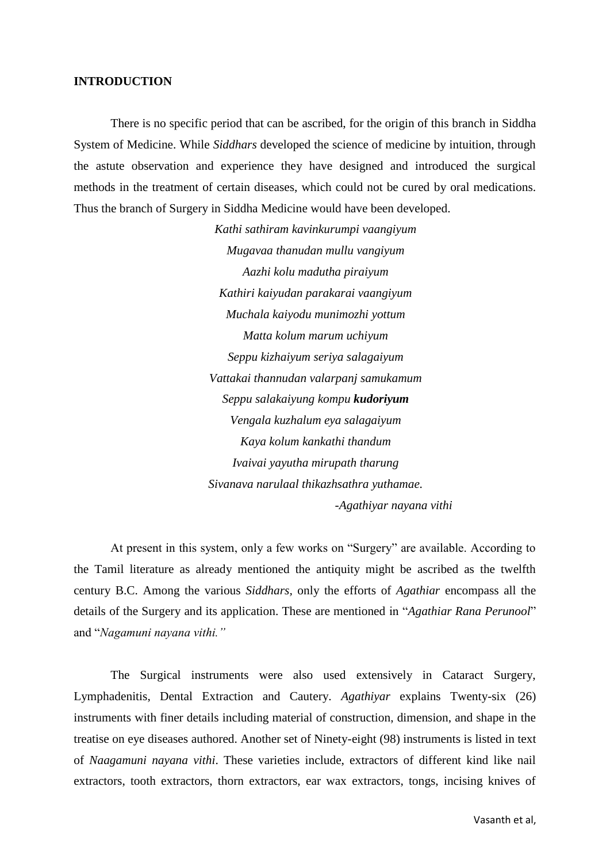#### **INTRODUCTION**

There is no specific period that can be ascribed, for the origin of this branch in Siddha System of Medicine. While *Siddhars* developed the science of medicine by intuition, through the astute observation and experience they have designed and introduced the surgical methods in the treatment of certain diseases, which could not be cured by oral medications. Thus the branch of Surgery in Siddha Medicine would have been developed.

> *Kathi sathiram kavinkurumpi vaangiyum Mugavaa thanudan mullu vangiyum Aazhi kolu madutha piraiyum Kathiri kaiyudan parakarai vaangiyum Muchala kaiyodu munimozhi yottum Matta kolum marum uchiyum Seppu kizhaiyum seriya salagaiyum Vattakai thannudan valarpanj samukamum Seppu salakaiyung kompu kudoriyum Vengala kuzhalum eya salagaiyum Kaya kolum kankathi thandum Ivaivai yayutha mirupath tharung Sivanava narulaal thikazhsathra yuthamae. -Agathiyar nayana vithi*

At present in this system, only a few works on "Surgery" are available. According to the Tamil literature as already mentioned the antiquity might be ascribed as the twelfth century B.C. Among the various *Siddhars,* only the efforts of *Agathiar* encompass all the details of the Surgery and its application. These are mentioned in "*Agathiar Rana Perunool*" and "*Nagamuni nayana vithi."* 

The Surgical instruments were also used extensively in Cataract Surgery, Lymphadenitis, Dental Extraction and Cautery. *Agathiyar* explains Twenty-six (26) instruments with finer details including material of construction, dimension, and shape in the treatise on eye diseases authored. Another set of Ninety-eight (98) instruments is listed in text of *Naagamuni nayana vithi*. These varieties include, extractors of different kind like nail extractors, tooth extractors, thorn extractors, ear wax extractors, tongs, incising knives of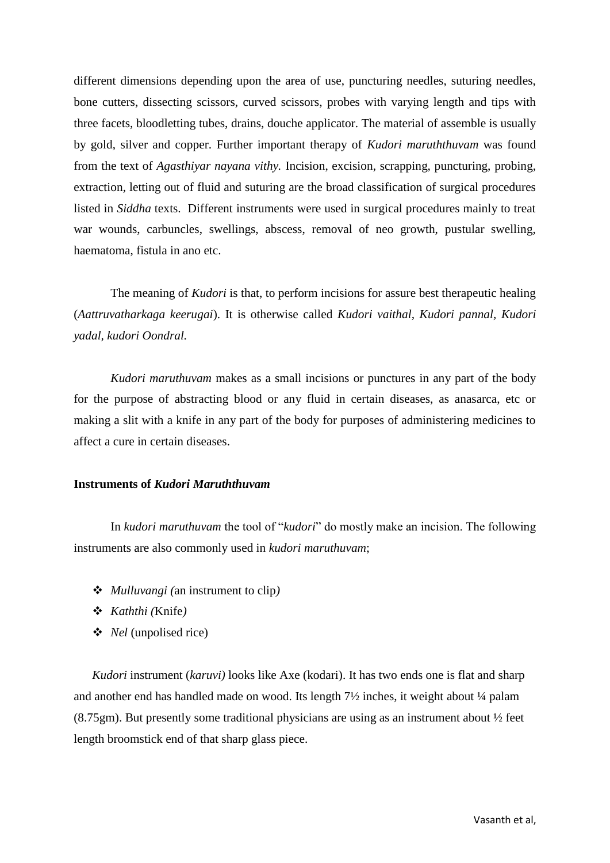different dimensions depending upon the area of use, puncturing needles, suturing needles, bone cutters, dissecting scissors, curved scissors, probes with varying length and tips with three facets, bloodletting tubes, drains, douche applicator. The material of assemble is usually by gold, silver and copper. Further important therapy of *Kudori maruththuvam* was found from the text of *Agasthiyar nayana vithy.* Incision, excision, scrapping, puncturing, probing, extraction, letting out of fluid and suturing are the broad classification of surgical procedures listed in *Siddha* texts. Different instruments were used in surgical procedures mainly to treat war wounds, carbuncles, swellings, abscess, removal of neo growth, pustular swelling, haematoma, fistula in ano etc.

 The meaning of *Kudori* is that, to perform incisions for assure best therapeutic healing (*Aattruvatharkaga keerugai*). It is otherwise called *Kudori vaithal, Kudori pannal, Kudori yadal, kudori Oondral.* 

*Kudori maruthuvam* makes as a small incisions or punctures in any part of the body for the purpose of abstracting blood or any fluid in certain diseases, as anasarca, etc or making a slit with a knife in any part of the body for purposes of administering medicines to affect a cure in certain diseases.

#### **Instruments of** *Kudori Maruththuvam*

In *kudori maruthuvam* the tool of "*kudori*" do mostly make an incision. The following instruments are also commonly used in *kudori maruthuvam*;

- *Mulluvangi (*an instrument to clip*)*
- *Kaththi (*Knife*)*
- *Nel* (unpolised rice)

*Kudori* instrument *(karuvi)* looks like Axe *(kodari)*. It has two ends one is flat and sharp and another end has handled made on wood. Its length  $7\frac{1}{2}$  inches, it weight about  $\frac{1}{4}$  palam  $(8.75gm)$ . But presently some traditional physicians are using as an instrument about  $\frac{1}{2}$  feet length broomstick end of that sharp glass piece.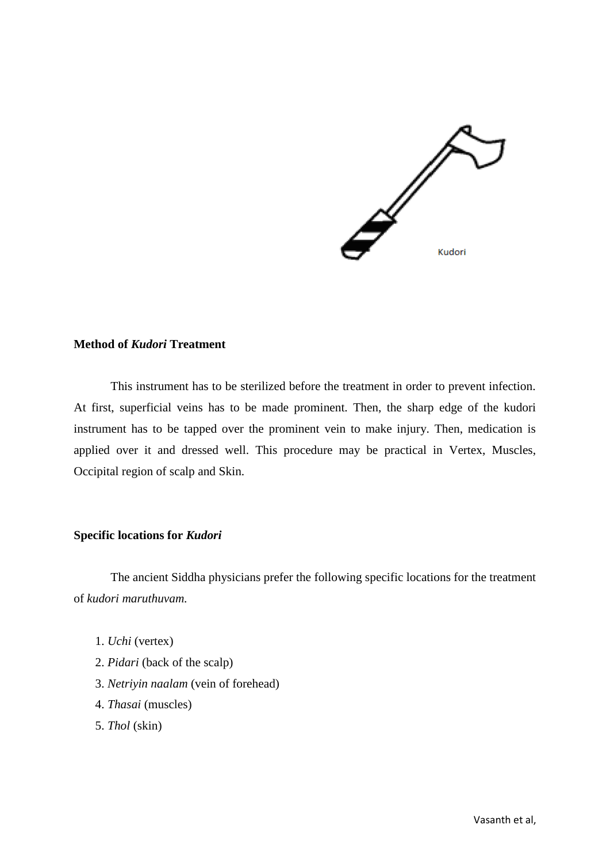

#### **Method of** *Kudori* **Treatment**

This instrument has to be sterilized before the treatment in order to prevent infection. At first, superficial veins has to be made prominent. Then, the sharp edge of the kudori instrument has to be tapped over the prominent vein to make injury. Then, medication is applied over it and dressed well. This procedure may be practical in Vertex, Muscles, Occipital region of scalp and Skin.

#### **Specific locations for** *Kudori*

The ancient Siddha physicians prefer the following specific locations for the treatment of *kudori maruthuvam.*

- 1. *Uchi* (vertex)
- 2. *Pidari* (back of the scalp)
- 3. *Netriyin naalam* (vein of forehead)
- 4. *Thasai* (muscles)
- 5. *Thol* (skin)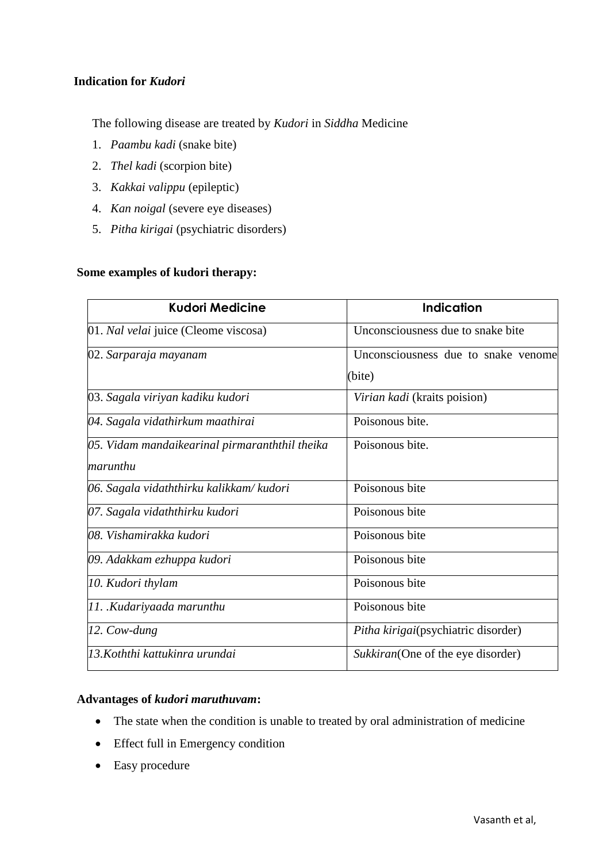## **Indication for** *Kudori*

The following disease are treated by *Kudori* in *Siddha* Medicine

- 1. *Paambu kadi* (snake bite)
- 2. *Thel kadi* (scorpion bite)
- 3. *Kakkai valippu* (epileptic)
- 4. *Kan noigal* (severe eye diseases)
- 5. *Pitha kirigai* (psychiatric disorders)

## **Some examples of kudori therapy:**

| <b>Kudori Medicine</b>                         | <b>Indication</b>                   |
|------------------------------------------------|-------------------------------------|
| 01. Nal velai juice (Cleome viscosa)           | Unconsciousness due to snake bite   |
| 02. Sarparaja mayanam                          | Unconsciousness due to snake venome |
|                                                | (bite)                              |
| 03. Sagala viriyan kadiku kudori               | Virian kadi (kraits poision)        |
| 04. Sagala vidathirkum maathirai               | Poisonous bite.                     |
| 05. Vidam mandaikearinal pirmaranththil theika | Poisonous bite.                     |
| marunthu                                       |                                     |
| 06. Sagala vidaththirku kalikkam/kudori        | Poisonous bite                      |
| 07. Sagala vidaththirku kudori                 | Poisonous bite                      |
| 08. Vishamirakka kudori                        | Poisonous bite                      |
| 09. Adakkam ezhuppa kudori                     | Poisonous bite                      |
| 10. Kudori thylam                              | Poisonous bite                      |
| 11. Kudariyaada marunthu                       | Poisonous bite                      |
| 12. Cow-dung                                   | Pitha kirigai(psychiatric disorder) |
| 13. Koththi kattukinra urundai                 | Sukkiran(One of the eye disorder)   |

## **Advantages of** *kudori maruthuvam***:**

- The state when the condition is unable to treated by oral administration of medicine
- Effect full in Emergency condition
- Easy procedure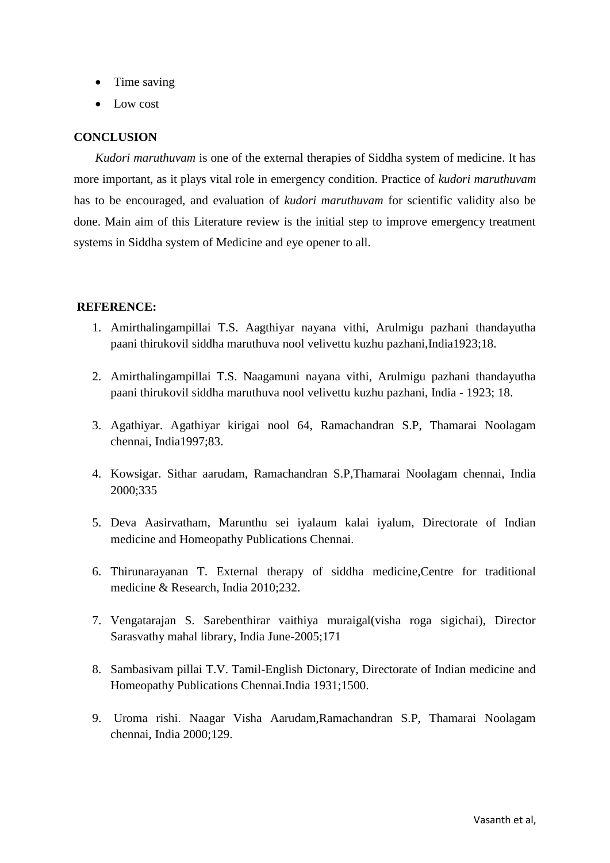- Time saving
- Low cost

## **CONCLUSION**

*Kudori maruthuvam* is one of the external therapies of Siddha system of medicine. It has more important, as it plays vital role in emergency condition. Practice of *kudori maruthuvam*  has to be encouraged, and evaluation of *kudori maruthuvam* for scientific validity also be done. Main aim of this Literature review is the initial step to improve emergency treatment systems in Siddha system of Medicine and eye opener to all.

## **REFERENCE:**

- 1. Amirthalingampillai T.S. Aagthiyar nayana vithi, Arulmigu pazhani thandayutha paani thirukovil siddha maruthuva nool velivettu kuzhu pazhani,India1923;18.
- 2. Amirthalingampillai T.S. Naagamuni nayana vithi, Arulmigu pazhani thandayutha paani thirukovil siddha maruthuva nool velivettu kuzhu pazhani, India - 1923; 18.
- 3. Agathiyar. Agathiyar kirigai nool 64, Ramachandran S.P, Thamarai Noolagam chennai, India1997;83.
- 4. Kowsigar. Sithar aarudam, Ramachandran S.P,Thamarai Noolagam chennai, India 2000;335
- 5. Deva Aasirvatham, Marunthu sei iyalaum kalai iyalum, Directorate of Indian medicine and Homeopathy Publications Chennai.
- 6. Thirunarayanan T. External therapy of siddha medicine,Centre for traditional medicine & Research, India 2010;232.
- 7. Vengatarajan S. Sarebenthirar vaithiya muraigal(visha roga sigichai), Director Sarasvathy mahal library, India June-2005;171
- 8. Sambasivam pillai T.V. Tamil-English Dictonary, Directorate of Indian medicine and Homeopathy Publications Chennai.India 1931;1500.
- 9. Uroma rishi. Naagar Visha Aarudam,Ramachandran S.P, Thamarai Noolagam chennai, India 2000;129.